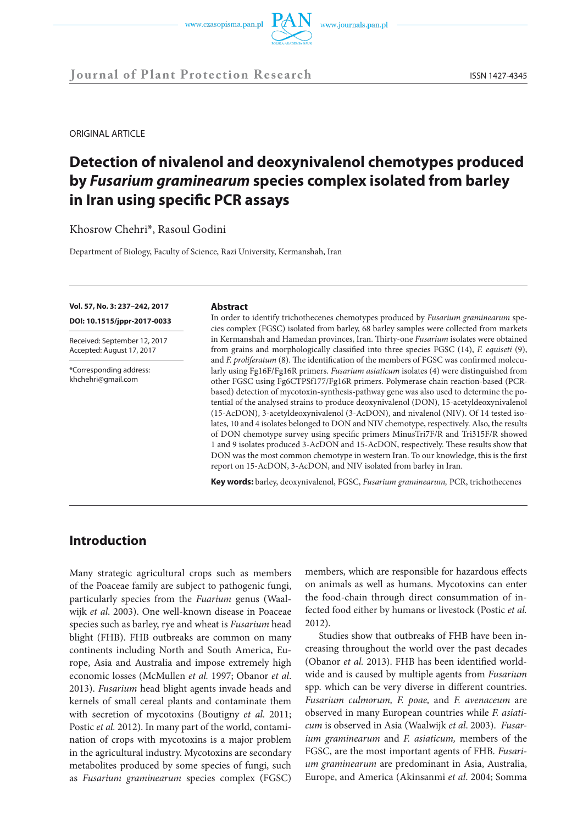

ORIGINAL ARTICLE

# **Detection of nivalenol and deoxynivalenol chemotypes produced by** *Fusarium graminearum* **species complex isolated from barley in Iran using specific PCR assays**

Khosrow Chehri\*, Rasoul Godini

Department of Biology, Faculty of Science, Razi University, Kermanshah, Iran

#### **Vol. 57, No. 3: 237–242, 2017**

**DOI: 10.1515/jppr-2017-0033**

Received: September 12, 2017 Accepted: August 17, 2017

\*Corresponding address: khchehri@gmail.com

#### **Abstract**

In order to identify trichothecenes chemotypes produced by *Fusarium graminearum* species complex (FGSC) isolated from barley, 68 barley samples were collected from markets in Kermanshah and Hamedan provinces, Iran. Thirty-one *Fusarium* isolates were obtained from grains and morphologically classified into three species FGSC (14), *F. equiseti* (9), and *F. proliferatum* (8). The identification of the members of FGSC was confirmed molecularly using Fg16F/Fg16R primers. *Fusarium asiaticum* isolates (4) were distinguished from other FGSC using Fg6CTPSf177/Fg16R primers. Polymerase chain reaction-based (PCRbased) detection of mycotoxin-synthesis-pathway gene was also used to determine the potential of the analysed strains to produce deoxynivalenol (DON), 15-acetyldeoxynivalenol (15-AcDON), 3-acetyldeoxynivalenol (3-AcDON), and nivalenol (NIV). Of 14 tested isolates, 10 and 4 isolates belonged to DON and NIV chemotype, respectively. Also, the results of DON chemotype survey using specific primers MinusTri7F/R and Tri315F/R showed 1 and 9 isolates produced 3-AcDON and 15-AcDON, respectively. These results show that DON was the most common chemotype in western Iran. To our knowledge, this is the first report on 15-AcDON, 3-AcDON, and NIV isolated from barley in Iran.

**Key words:** barley, deoxynivalenol, FGSC, *Fusarium graminearum,* PCR, trichothecenes

### **Introduction**

Many strategic agricultural crops such as members of the Poaceae family are subject to pathogenic fungi, particularly species from the *Fuarium* genus (Waalwijk *et al*. 2003). One well-known disease in Poaceae species such as barley, rye and wheat is *Fusarium* head blight (FHB). FHB outbreaks are common on many continents including North and South America, Europe, Asia and Australia and impose extremely high economic losses (McMullen *et al.* 1997; Obanor *et al*. 2013). *Fusarium* head blight agents invade heads and kernels of small cereal plants and contaminate them with secretion of mycotoxins (Boutigny *et al*. 2011; Postic *et al.* 2012). In many part of the world, contamination of crops with mycotoxins is a major problem in the agricultural industry. Mycotoxins are secondary metabolites produced by some species of fungi, such as *Fusarium graminearum* species complex (FGSC)

members, which are responsible for hazardous effects on animals as well as humans. Mycotoxins can enter the food-chain through direct consummation of infected food either by humans or livestock (Postic *et al.* 2012).

Studies show that outbreaks of FHB have been increasing throughout the world over the past decades (Obanor *et al.* 2013). FHB has been identified worldwide and is caused by multiple agents from *Fusarium* spp. which can be very diverse in different countries. *Fusarium culmorum, F. poae,* and *F. avenaceum* are observed in many European countries while *F. asiaticum* is observed in Asia (Waalwijk *et al*. 2003). *Fusarium graminearum* and *F. asiaticum,* members of the FGSC, are the most important agents of FHB. *Fusarium graminearum* are predominant in Asia, Australia, Europe, and America (Akinsanmi *et al*. 2004; Somma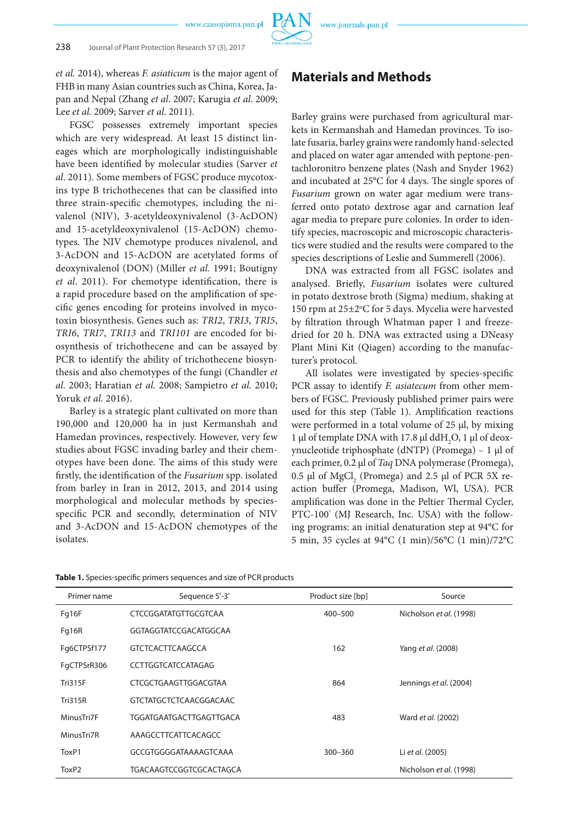*et al.* 2014), whereas *F. asiaticum* is the major agent of FHB in many Asian countries such as China, Korea, Japan and Nepal (Zhang *et al*. 2007; Karugia *et al*. 2009; Lee *et al.* 2009; Sarver *et al*. 2011).

FGSC possesses extremely important species which are very widespread. At least 15 distinct lineages which are morphologically indistinguishable have been identified by molecular studies (Sarver *et al*. 2011). Some members of FGSC produce mycotoxins type B trichothecenes that can be classified into three strain-specific chemotypes, including the nivalenol (NIV), 3-acetyldeoxynivalenol (3-AcDON) and 15-acetyldeoxynivalenol (15-AcDON) chemotypes. The NIV chemotype produces nivalenol, and 3-AcDON and 15-AcDON are acetylated forms of deoxynivalenol (DON) (Miller *et al.* 1991; Boutigny *et al*. 2011). For chemotype identification, there is a rapid procedure based on the amplification of specific genes encoding for proteins involved in mycotoxin biosynthesis. Genes such as: *TRI2*, *TRI3*, *TRI5*, *TRI6*, *TRI7*, *TRI13* and *TRI101* are encoded for biosynthesis of trichothecene and can be assayed by PCR to identify the ability of trichothecene biosynthesis and also chemotypes of the fungi (Chandler *et al.* 2003; Haratian *et al.* 2008; Sampietro *et al.* 2010; Yoruk *et al.* 2016).

Barley is a strategic plant cultivated on more than 190,000 and 120,000 ha in just Kermanshah and Hamedan provinces, respectively. However, very few studies about FGSC invading barley and their chemotypes have been done. The aims of this study were firstly, the identification of the *Fusarium* spp. isolated from barley in Iran in 2012, 2013, and 2014 using morphological and molecular methods by speciesspecific PCR and secondly, determination of NIV and 3-AcDON and 15-AcDON chemotypes of the isolates.

### **Materials and Methods**

Barley grains were purchased from agricultural markets in Kermanshah and Hamedan provinces. To isolate fusaria, barley grains were randomly hand-selected and placed on water agar amended with peptone-pentachloronitro benzene plates (Nash and Snyder 1962) and incubated at 25°C for 4 days. The single spores of *Fusarium* grown on water agar medium were transferred onto potato dextrose agar and carnation leaf agar media to prepare pure colonies. In order to identify species, macroscopic and microscopic characteristics were studied and the results were compared to the species descriptions of Leslie and Summerell (2006).

DNA was extracted from all FGSC isolates and analysed. Briefly, *Fusarium* isolates were cultured in potato dextrose broth (Sigma) medium, shaking at 150 rpm at 25±2°C for 5 days. Mycelia were harvested by filtration through Whatman paper 1 and freezedried for 20 h. DNA was extracted using a DNeasy Plant Mini Kit (Qiagen) according to the manufacturer's protocol.

All isolates were investigated by species-specific PCR assay to identify *F. asiatecum* from other members of FGSC. Previously published primer pairs were used for this step (Table 1). Amplification reactions were performed in a total volume of 25 µl, by mixing 1 µl of template DNA with 17.8 µl ddH<sub>2</sub>O, 1 µl of deoxynucleotide triphosphate (dNTP) (Promega) – 1 µl of each primer, 0.2 µl of *Taq* DNA polymerase (Promega), 0.5  $\mu$ l of MgCl<sub>2</sub> (Promega) and 2.5  $\mu$ l of PCR 5X reaction buffer (Promega, Madison, Wl, USA). PCR amplification was done in the Peltier Thermal Cycler, PTC-100° (MJ Research, Inc. USA) with the following programs: an initial denaturation step at 94°C for 5 min, 35 cycles at 94°C (1 min)/56°C (1 min)/72°C

| Primer name    | Sequence 5'-3'                | Product size [bp] | Source                  |  |
|----------------|-------------------------------|-------------------|-------------------------|--|
| Fg16F          | CTCCGGATATGTTGCGTCAA          | $400 - 500$       | Nicholson et al. (1998) |  |
| Fg16R          | GGTAGGTATCCGACATGGCAA         |                   |                         |  |
| Fq6CTPSf177    | <b>GTCTCACTTCAAGCCA</b>       | 162               | Yang et al. (2008)      |  |
| FqCTPSrR306    | <b>CCTTGGTCATCCATAGAG</b>     |                   |                         |  |
| <b>Tri315F</b> | CTCGCTGAAGTTGGACGTAA          | 864               | Jennings et al. (2004)  |  |
| <b>Tri315R</b> | <b>GTCTATGCTCTCAACGGACAAC</b> |                   |                         |  |
| MinusTri7F     | TGGATGAATGACTTGAGTTGACA       | 483               | Ward et al. (2002)      |  |
| MinusTri7R     | AAAGCCTTCATTCACAGCC           |                   |                         |  |
| ToxP1          | GCCGTGGGGATAAAAGTCAAA         | $300 - 360$       | Li et al. (2005)        |  |
| ToxP2          | TGACAAGTCCGGTCGCACTAGCA       |                   | Nicholson et al. (1998) |  |

**Table 1.** Species-specific primers sequences and size of PCR products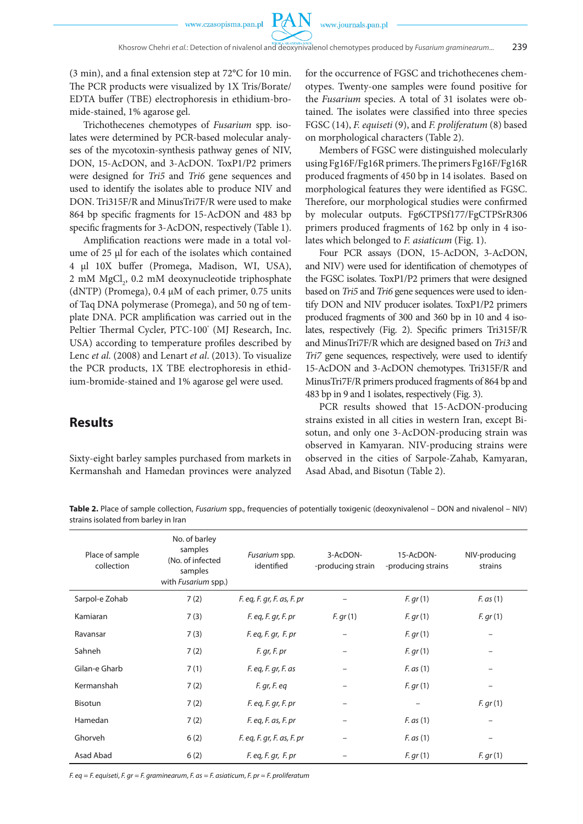

(3 min), and a final extension step at 72°C for 10 min. The PCR products were visualized by 1X Tris/Borate/ EDTA buffer (TBE) electrophoresis in ethidium-bromide-stained, 1% agarose gel.

Trichothecenes chemotypes of *Fusarium* spp. isolates were determined by PCR-based molecular analyses of the mycotoxin-synthesis pathway genes of NIV, DON, 15-AcDON, and 3-AcDON. ToxP1/P2 primers were designed for *Tri5* and *Tri6* gene sequences and used to identify the isolates able to produce NIV and DON. Tri315F/R and MinusTri7F/R were used to make 864 bp specific fragments for 15-AcDON and 483 bp specific fragments for 3-AcDON, respectively (Table 1).

Amplification reactions were made in a total volume of 25 µl for each of the isolates which contained 4 µl 10X buffer (Promega, Madison, WI, USA), 2 mM MgCl<sub>2</sub>, 0.2 mM deoxynucleotide triphosphate (dNTP) (Promega), 0.4 µM of each primer, 0.75 units of Taq DNA polymerase (Promega), and 50 ng of template DNA. PCR amplification was carried out in the Peltier Thermal Cycler, PTC-100° (MJ Research, Inc. USA) according to temperature profiles described by Lenc *et al.* (2008) and Lenart *et al*. (2013). To visualize the PCR products, 1X TBE electrophoresis in ethidium-bromide-stained and 1% agarose gel were used.

for the occurrence of FGSC and trichothecenes chemotypes. Twenty-one samples were found positive for the *Fusarium* species. A total of 31 isolates were obtained. The isolates were classified into three species FGSC (14), *F. equiseti* (9), and *F. proliferatum* (8) based on morphological characters (Table 2).

Members of FGSC were distinguished molecularly using Fg16F/Fg16R primers. The primers Fg16F/Fg16R produced fragments of 450 bp in 14 isolates. Based on morphological features they were identified as FGSC. Therefore, our morphological studies were confirmed by molecular outputs. Fg6CTPSf177/FgCTPSrR306 primers produced fragments of 162 bp only in 4 isolates which belonged to *F. asiaticum* (Fig. 1).

Four PCR assays (DON, 15-AcDON, 3-AcDON, and NIV) were used for identification of chemotypes of the FGSC isolates. ToxP1/P2 primers that were designed based on *Tri5* and *Tri6* gene sequences were used to identify DON and NIV producer isolates. ToxP1/P2 primers produced fragments of 300 and 360 bp in 10 and 4 isolates, respectively (Fig. 2). Specific primers Tri315F/R and MinusTri7F/R which are designed based on *Tri3* and *Tri7* gene sequences, respectively, were used to identify 15-AcDON and 3-AcDON chemotypes. Tri315F/R and MinusTri7F/R primers produced fragments of 864 bp and 483 bp in 9 and 1 isolates, respectively (Fig. 3).

PCR results showed that 15-AcDON-producing strains existed in all cities in western Iran, except Bisotun, and only one 3-AcDON-producing strain was observed in Kamyaran. NIV-producing strains were observed in the cities of Sarpole-Zahab, Kamyaran, Asad Abad, and Bisotun (Table 2).

# **Results**

Sixty-eight barley samples purchased from markets in Kermanshah and Hamedan provinces were analyzed

**Table 2.** Place of sample collection, *Fusarium* spp., frequencies of potentially toxigenic (deoxynivalenol – DON and nivalenol – NIV) strains isolated from barley in Iran

| Place of sample<br>collection | No. of barley<br>samples<br>(No. of infected<br>samples<br>with <i>Fusarium</i> spp.) | Fusarium spp.<br>identified | 3-AcDON-<br>-producing strain | 15-AcDON-<br>-producing strains | NIV-producing<br>strains |
|-------------------------------|---------------------------------------------------------------------------------------|-----------------------------|-------------------------------|---------------------------------|--------------------------|
| Sarpol-e Zohab                | 7(2)                                                                                  | F. eq, F. gr, F. as, F. pr  |                               | F. gr(1)                        | $F.$ as $(1)$            |
| Kamiaran                      | 7(3)                                                                                  | $F.$ eq, $F.$ gr, $F.$ pr   | F. gr(1)                      | F. gr(1)                        | F. gr(1)                 |
| Ravansar                      | 7(3)                                                                                  | $F.$ eq, $F.$ gr, $F.$ pr   |                               | F. gr(1)                        |                          |
| Sahneh                        | 7(2)                                                                                  | F. gr, F. pr                |                               | F. gr(1)                        |                          |
| Gilan-e Gharb                 | 7(1)                                                                                  | $F.$ eq, $F.$ gr, $F.$ as   |                               | $F.$ as $(1)$                   | $\qquad \qquad$          |
| Kermanshah                    | 7(2)                                                                                  | F. gr, F. eq                |                               | F. gr(1)                        |                          |
| Bisotun                       | 7(2)                                                                                  | F. eq, F. gr, F. pr         |                               |                                 | F. gr(1)                 |
| Hamedan                       | 7(2)                                                                                  | $F.$ eq, $F.$ as, $F.$ pr   |                               | $F.$ as $(1)$                   |                          |
| Ghorveh                       | 6(2)                                                                                  | F. eq, F. gr, F. as, F. pr  |                               | $F.$ as $(1)$                   |                          |
| Asad Abad                     | 6(2)                                                                                  | $F.$ eq, $F.$ gr, $F.$ pr   |                               | F. gr(1)                        | F. gr(1)                 |

*F. eq* = *F. equiseti*, *F. gr* = *F. graminearum*, *F. as* = *F. asiaticum*, *F. pr* = *F. proliferatum*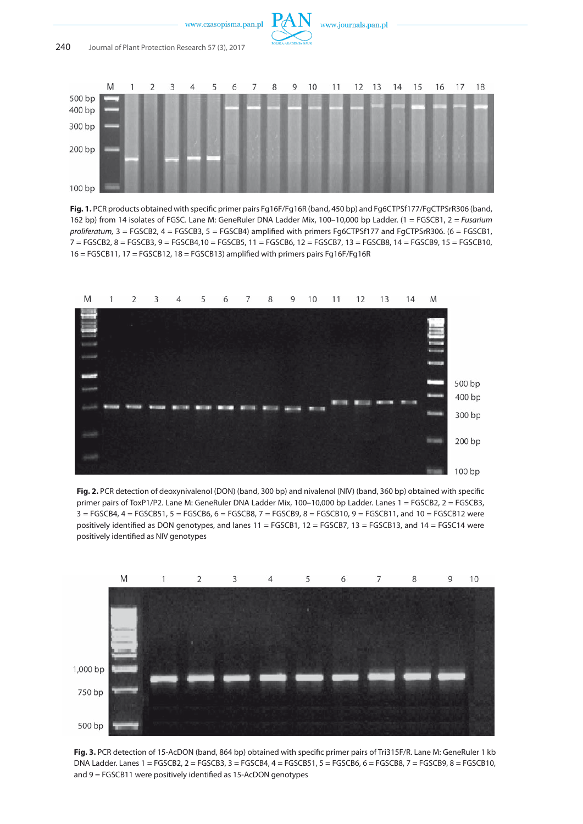

**Fig. 1.** PCR products obtained with specific primer pairs Fg16F/Fg16R (band, 450 bp) and Fg6CTPSf177/FgCTPSrR306 (band, 162 bp) from 14 isolates of FGSC. Lane M: GeneRuler DNA Ladder Mix, 100–10,000 bp Ladder. (1 = FGSCB1, 2 = *Fusarium proliferatum,* 3 = FGSCB2, 4 = FGSCB3, 5 = FGSCB4) amplified with primers Fg6CTPSf177 and FgCTPSrR306. (6 = FGSCB1, 7 = FGSCB2, 8 = FGSCB3, 9 = FGSCB4,10 = FGSCB5, 11 = FGSCB6, 12 = FGSCB7, 13 = FGSCB8, 14 = FGSCB9, 15 = FGSCB10,  $16 = FGSCB11$ ,  $17 = FGSCB12$ ,  $18 = FGSCB13$ ) amplified with primers pairs  $Fg16F/Fg16R$ 



**Fig. 2.** PCR detection of deoxynivalenol (DON) (band, 300 bp) and nivalenol (NIV) (band, 360 bp) obtained with specific primer pairs of ToxP1/P2. Lane M: GeneRuler DNA Ladder Mix, 100–10,000 bp Ladder. Lanes 1 = FGSCB2, 2 = FGSCB3, 3 = FGSCB4, 4 = FGSCB51, 5 = FGSCB6, 6 = FGSCB8, 7 = FGSCB9, 8 = FGSCB10, 9 = FGSCB11, and 10 = FGSCB12 were positively identified as DON genotypes, and lanes 11 = FGSCB1, 12 = FGSCB7, 13 = FGSCB13, and 14 = FGSC14 were positively identified as NIV genotypes



**Fig. 3.** PCR detection of 15-AcDON (band, 864 bp) obtained with specific primer pairs of Tri315F/R. Lane M: GeneRuler 1 kb DNA Ladder. Lanes 1 = FGSCB2, 2 = FGSCB3, 3 = FGSCB4, 4 = FGSCB51, 5 = FGSCB6, 6 = FGSCB8, 7 = FGSCB9, 8 = FGSCB10, and 9 = FGSCB11 were positively identified as 15-AcDON genotypes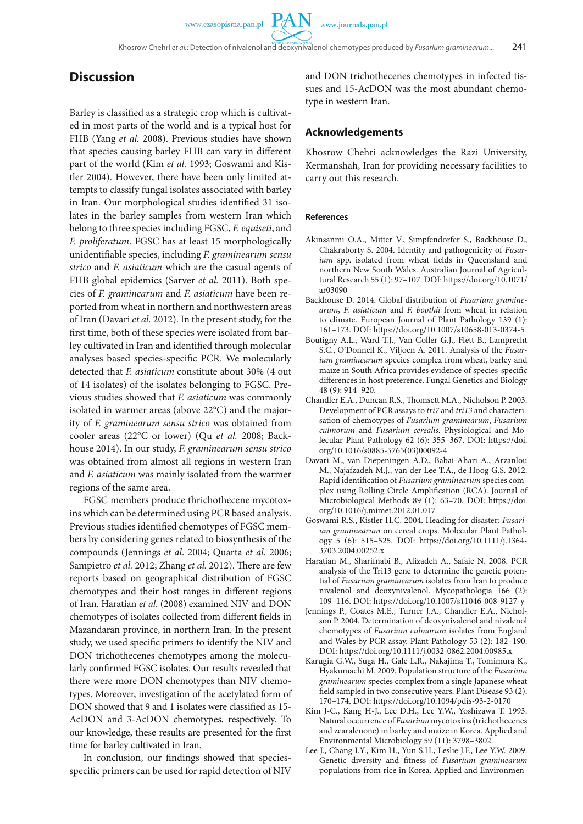**PAN** 

## **Discussion**

Barley is classified as a strategic crop which is cultivated in most parts of the world and is a typical host for FHB (Yang *et al.* 2008). Previous studies have shown that species causing barley FHB can vary in different part of the world (Kim *et al.* 1993; Goswami and Kistler 2004). However, there have been only limited attempts to classify fungal isolates associated with barley in Iran. Our morphological studies identified 31 isolates in the barley samples from western Iran which belong to three species including FGSC, *F. equiseti*, and *F. proliferatum*. FGSC has at least 15 morphologically unidentifiable species, including *F. graminearum sensu strico* and *F. asiaticum* which are the casual agents of FHB global epidemics (Sarver *et al.* 2011). Both species of *F. graminearum* and *F. asiaticum* have been reported from wheat in northern and northwestern areas of Iran (Davari *et al.* 2012). In the present study, for the first time, both of these species were isolated from barley cultivated in Iran and identified through molecular analyses based species-specific PCR. We molecularly detected that *F. asiaticum* constitute about 30% (4 out of 14 isolates) of the isolates belonging to FGSC. Previous studies showed that *F. asiaticum* was commonly isolated in warmer areas (above 22°C) and the majority of *F. graminearum sensu strico* was obtained from cooler areas (22°C or lower) (Qu *et al.* 2008; Backhouse 2014). In our study, *F. graminearum sensu strico* was obtained from almost all regions in western Iran and *F. asiaticum* was mainly isolated from the warmer regions of the same area.

FGSC members produce thrichothecene mycotoxins which can be determined using PCR based analysis. Previous studies identified chemotypes of FGSC members by considering genes related to biosynthesis of the compounds (Jennings *et al*. 2004; Quarta *et al.* 2006; Sampietro *et al.* 2012; Zhang *et al.* 2012). There are few reports based on geographical distribution of FGSC chemotypes and their host ranges in different regions of Iran. Haratian *et al*. (2008) examined NIV and DON chemotypes of isolates collected from different fields in Mazandaran province, in northern Iran. In the present study, we used specific primers to identify the NIV and DON trichothecenes chemotypes among the molecularly confirmed FGSC isolates. Our results revealed that there were more DON chemotypes than NIV chemotypes. Moreover, investigation of the acetylated form of DON showed that 9 and 1 isolates were classified as 15- AcDON and 3-AcDON chemotypes, respectively. To our knowledge, these results are presented for the first time for barley cultivated in Iran.

In conclusion, our findings showed that speciesspecific primers can be used for rapid detection of NIV and DON trichothecenes chemotypes in infected tissues and 15-AcDON was the most abundant chemotype in western Iran.

#### **Acknowledgements**

Khosrow Chehri acknowledges the Razi University, Kermanshah, Iran for providing necessary facilities to carry out this research.

#### **References**

- Akinsanmi O.A., Mitter V., Simpfendorfer S., Backhouse D., Chakraborty S. 2004. Identity and pathogenicity of *Fusar*ium spp. isolated from wheat fields in Queensland and northern New South Wales. Australian Journal of Agricultural Research 55 (1): 97–107. DOI: https://doi.org/10.1071/ ar03090
- Backhouse D. 2014. Global distribution of *Fusarium graminearum*, *F. asiaticum* and *F. boothii* from wheat in relation to climate. European Journal of Plant Pathology 139 (1): 161–173. DOI: https://doi.org/10.1007/s10658-013-0374-5
- Boutigny A.L., Ward T.J., Van Coller G.J., Flett B., Lamprecht S.C., O'Donnell K., Viljoen A. 2011. Analysis of the *Fusarium graminearum* species complex from wheat, barley and maize in South Africa provides evidence of species-specific differences in host preference. Fungal Genetics and Biology 48 (9): 914–920.
- Chandler E.A., Duncan R.S., Thomsett M.A., Nicholson P. 2003. Development of PCR assays to *tri7* and *tri13* and characterisation of chemotypes of *Fusarium graminearum*, *Fusarium culmorum* and *Fusarium cerealis*. Physiological and Molecular Plant Pathology 62 (6): 355–367. DOI: https://doi. org/10.1016/s0885-5765(03)00092-4
- Davari M., van Diepeningen A.D., Babai-Ahari A., Arzanlou M., Najafzadeh M.J., van der Lee T.A., de Hoog G.S. 2012. Rapid identification of *Fusarium graminearum* species complex using Rolling Circle Amplification (RCA). Journal of Microbiological Methods 89 (1): 63–70. DOI: https://doi. org/10.1016/j.mimet.2012.01.017
- Goswami R.S., Kistler H.C. 2004. Heading for disaster: *Fusarium graminearum* on cereal crops. Molecular Plant Pathology 5 (6): 515–525. DOI: https://doi.org/10.1111/j.1364- 3703.2004.00252.x
- Haratian M., Sharifnabi B., Alizadeh A., Safaie N. 2008. PCR analysis of the Tri13 gene to determine the genetic potential of *Fusarium graminearum* isolates from Iran to produce nivalenol and deoxynivalenol. Mycopathologia 166 (2): 109–116. DOI: https://doi.org/10.1007/s11046-008-9127-y
- Jennings P., Coates M.E., Turner J.A., Chandler E.A., Nicholson P. 2004. Determination of deoxynivalenol and nivalenol chemotypes of *Fusarium culmorum* isolates from England and Wales by PCR assay. Plant Pathology 53 (2): 182–190. DOI: https://doi.org/10.1111/j.0032-0862.2004.00985.x
- Karugia G.W., Suga H., Gale L.R., Nakajima T., Tomimura K., Hyakumachi M. 2009. Population structure of the *Fusarium graminearum* species complex from a single Japanese wheat field sampled in two consecutive years. Plant Disease 93 (2): 170–174. DOI: https://doi.org/10.1094/pdis-93-2-0170
- Kim J-C., Kang H-J., Lee D.H., Lee Y.W., Yoshizawa T. 1993. Natural occurrence of *Fusarium* mycotoxins (trichothecenes and zearalenone) in barley and maize in Korea. Applied and Environmental Microbiology 59 (11): 3798–3802.
- Lee J., Chang I.Y., Kim H., Yun S.H., Leslie J.F., Lee Y.W. 2009. Genetic diversity and fitness of *Fusarium graminearum* populations from rice in Korea. Applied and Environmen-